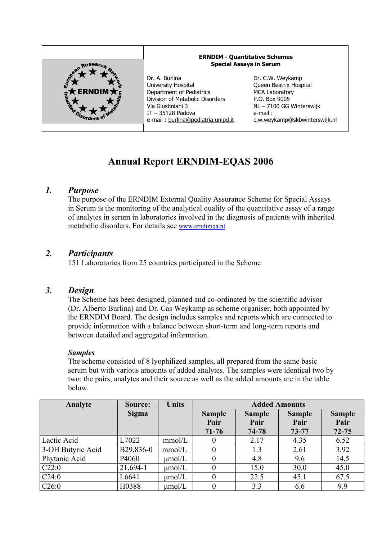

# **Annual Report ERNDIM-EQAS 2006**

# *1. Purpose*

The purpose of the ERNDIM External Quality Assurance Scheme for Special Assays in Serum is the monitoring of the analytical quality of the quantitative assay of a range of analytes in serum in laboratories involved in the diagnosis of patients with inherited metabolic disorders. For details see www.erndimqa.nl

# *2. Participants*

151 Laboratories from 25 countries participated in the Scheme

### *3. Design*

The Scheme has been designed, planned and co-ordinated by the scientific advisor (Dr. Alberto Burlina) and Dr. Cas Weykamp as scheme organiser, both appointed by the ERNDIM Board. The design includes samples and reports which are connected to provide information with a balance between short-term and long-term reports and between detailed and aggregated information.

### *Samples*

The scheme consisted of 8 lyophilized samples, all prepared from the same basic serum but with various amounts of added analytes. The samples were identical two by two: the pairs, analytes and their source as well as the added amounts are in the table below.

| Analyte           | Source:   | <b>Units</b> | <b>Added Amounts</b>               |                                |                                |                                    |  |
|-------------------|-----------|--------------|------------------------------------|--------------------------------|--------------------------------|------------------------------------|--|
|                   | Sigma     |              | <b>Sample</b><br>Pair<br>$71 - 76$ | <b>Sample</b><br>Pair<br>74-78 | <b>Sample</b><br>Pair<br>73-77 | <b>Sample</b><br>Pair<br>$72 - 75$ |  |
| Lactic Acid       | L7022     | mmol/L       | 0                                  | 2.17                           | 4.35                           | 6.52                               |  |
| 3-OH Butyric Acid | B29,836-0 | mmol/L       | $\theta$                           | 1.3                            | 2.61                           | 3.92                               |  |
| Phytanic Acid     | P4060     | $\mu$ mol/L  | 0                                  | 4.8                            | 9.6                            | 14.5                               |  |
| C22:0             | 21,694-1  | $\mu$ mol/L  |                                    | 15.0                           | 30.0                           | 45.0                               |  |
| C24:0             | L6641     | $\mu$ mol/L  | $\theta$                           | 22.5                           | 45.1                           | 67.5                               |  |
| C26:0             | H0388     | $\mu$ mol/L  |                                    | 3.3                            | 6.6                            | 9.9                                |  |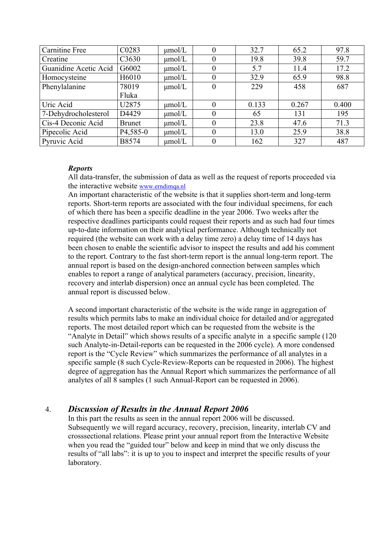| <b>Carnitine Free</b> | C <sub>0283</sub>      | $\mu$ mol/L | 0                | 32.7  | 65.2  | 97.8  |
|-----------------------|------------------------|-------------|------------------|-------|-------|-------|
| Creatine              | C <sub>3630</sub>      | $\mu$ mol/L | 0                | 19.8  | 39.8  | 59.7  |
| Guanidine Acetic Acid | G6002                  | $\mu$ mol/L | 0                | 5.7   | 11.4  | 17.2  |
| Homocysteine          | H6010                  | $\mu$ mol/L | $\theta$         | 32.9  | 65.9  | 98.8  |
| Phenylalanine         | 78019                  | $\mu$ mol/L | $\boldsymbol{0}$ | 229   | 458   | 687   |
|                       | Fluka                  |             |                  |       |       |       |
| Uric Acid             | U2875                  | $\mu$ mol/L | $\theta$         | 0.133 | 0.267 | 0.400 |
| 7-Dehydrocholesterol  | D4429                  | $\mu$ mol/L | $\theta$         | 65    | 131   | 195   |
| Cis-4 Deconic Acid    | <b>Brunet</b>          | $\mu$ mol/L | $\theta$         | 23.8  | 47.6  | 71.3  |
| Pipecolic Acid        | P <sub>4</sub> , 585-0 | $\mu$ mol/L | $\boldsymbol{0}$ | 13.0  | 25.9  | 38.8  |
| Pyruvic Acid          | B8574                  | $\mu$ mol/L | 0                | 162   | 327   | 487   |

#### *Reports*

All data-transfer, the submission of data as well as the request of reports proceeded via the interactive website www.erndimqa.nl

An important characteristic of the website is that it supplies short-term and long-term reports. Short-term reports are associated with the four individual specimens, for each of which there has been a specific deadline in the year 2006. Two weeks after the respective deadlines participants could request their reports and as such had four times up-to-date information on their analytical performance. Although technically not required (the website can work with a delay time zero) a delay time of 14 days has been chosen to enable the scientific advisor to inspect the results and add his comment to the report. Contrary to the fast short-term report is the annual long-term report. The annual report is based on the design-anchored connection between samples which enables to report a range of analytical parameters (accuracy, precision, linearity, recovery and interlab dispersion) once an annual cycle has been completed. The annual report is discussed below.

A second important characteristic of the website is the wide range in aggregation of results which permits labs to make an individual choice for detailed and/or aggregated reports. The most detailed report which can be requested from the website is the "Analyte in Detail" which shows results of a specific analyte in a specific sample (120 such Analyte-in-Detail-reports can be requested in the 2006 cycle). A more condensed report is the "Cycle Review" which summarizes the performance of all analytes in a specific sample (8 such Cycle-Review-Reports can be requested in 2006). The highest degree of aggregation has the Annual Report which summarizes the performance of all analytes of all 8 samples (1 such Annual-Report can be requested in 2006).

### 4. *Discussion of Results in the Annual Report 2006*

In this part the results as seen in the annual report 2006 will be discussed. Subsequently we will regard accuracy, recovery, precision, linearity, interlab CV and crosssectional relations. Please print your annual report from the Interactive Website when you read the "guided tour" below and keep in mind that we only discuss the results of "all labs": it is up to you to inspect and interpret the specific results of your laboratory.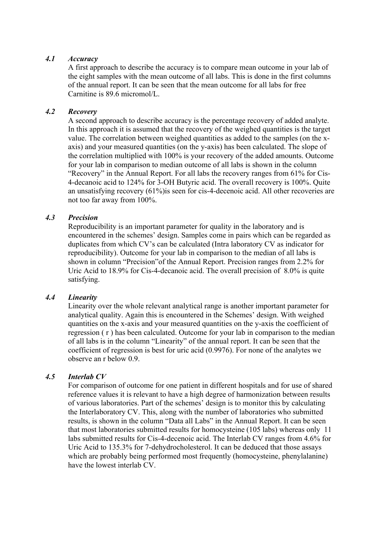#### *4.1 Accuracy*

A first approach to describe the accuracy is to compare mean outcome in your lab of the eight samples with the mean outcome of all labs. This is done in the first columns of the annual report. It can be seen that the mean outcome for all labs for free Carnitine is 89.6 micromol/L.

#### *4.2 Recovery*

A second approach to describe accuracy is the percentage recovery of added analyte. In this approach it is assumed that the recovery of the weighed quantities is the target value. The correlation between weighed quantities as added to the samples (on the xaxis) and your measured quantities (on the y-axis) has been calculated. The slope of the correlation multiplied with 100% is your recovery of the added amounts. Outcome for your lab in comparison to median outcome of all labs is shown in the column "Recovery" in the Annual Report. For all labs the recovery ranges from 61% for Cis-4-decanoic acid to 124% for 3-OH Butyric acid. The overall recovery is 100%. Quite an unsatisfying recovery (61%)is seen for cis-4-decenoic acid. All other recoveries are not too far away from 100%.

#### *4.3 Precision*

Reproducibility is an important parameter for quality in the laboratory and is encountered in the schemes' design. Samples come in pairs which can be regarded as duplicates from which CV's can be calculated (Intra laboratory CV as indicator for reproducibility). Outcome for your lab in comparison to the median of all labs is shown in column "Precision"of the Annual Report. Precision ranges from 2.2% for Uric Acid to 18.9% for Cis-4-decanoic acid. The overall precision of 8.0% is quite satisfying.

#### *4.4 Linearity*

Linearity over the whole relevant analytical range is another important parameter for analytical quality. Again this is encountered in the Schemes' design. With weighed quantities on the x-axis and your measured quantities on the y-axis the coefficient of regression ( r ) has been calculated. Outcome for your lab in comparison to the median of all labs is in the column "Linearity" of the annual report. It can be seen that the coefficient of regression is best for uric acid (0.9976). For none of the analytes we observe an r below 0.9.

#### *4.5 Interlab CV*

For comparison of outcome for one patient in different hospitals and for use of shared reference values it is relevant to have a high degree of harmonization between results of various laboratories. Part of the schemes' design is to monitor this by calculating the Interlaboratory CV. This, along with the number of laboratories who submitted results, is shown in the column "Data all Labs" in the Annual Report. It can be seen that most laboratories submitted results for homocysteine (105 labs) whereas only 11 labs submitted results for Cis-4-decenoic acid. The Interlab CV ranges from 4.6% for Uric Acid to 135.3% for 7-dehydrocholesterol. It can be deduced that those assays which are probably being performed most frequently (homocysteine, phenylalanine) have the lowest interlab CV.